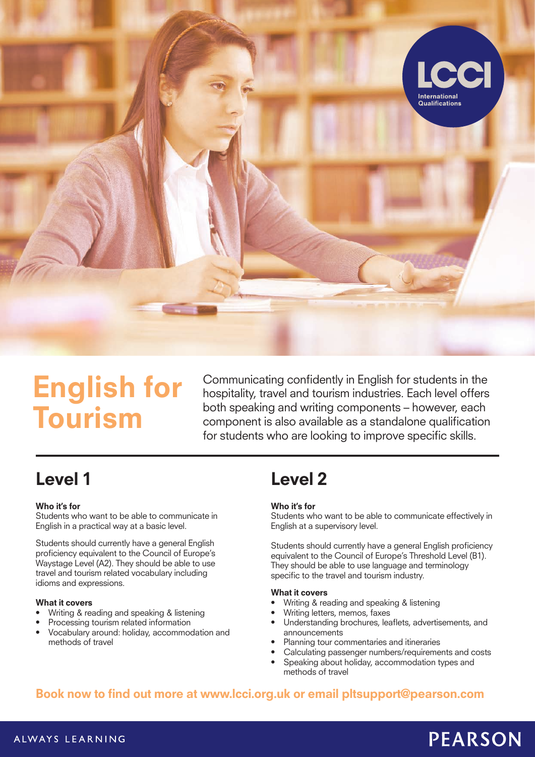

# English for Tourism

Communicating confidently in English for students in the hospitality, travel and tourism industries. Each level offers both speaking and writing components – however, each component is also available as a standalone qualification for students who are looking to improve specific skills.

## Level 1

#### Who it's for

Students who want to be able to communicate in English in a practical way at a basic level.

Students should currently have a general English proficiency equivalent to the Council of Europe's Waystage Level (A2). They should be able to use travel and tourism related vocabulary including idioms and expressions.

#### What it covers

- Writing & reading and speaking & listening
- Processing tourism related information
- Vocabulary around: holiday, accommodation and methods of travel

## Level 2

#### Who it's for

Students who want to be able to communicate effectively in English at a supervisory level.

Students should currently have a general English proficiency equivalent to the Council of Europe's Threshold Level (B1). They should be able to use language and terminology specific to the travel and tourism industry.

#### What it covers

- Writing & reading and speaking & listening
- Writing letters, memos, faxes
- Understanding brochures, leaflets, advertisements, and announcements
- Planning tour commentaries and itineraries
- Calculating passenger numbers/requirements and costs
- Speaking about holiday, accommodation types and methods of travel

### Book now to find out more at www.lcci.org.uk or email pltsupport@pearson.com

#### ALWAYS LEARNING

# **PEARSON**